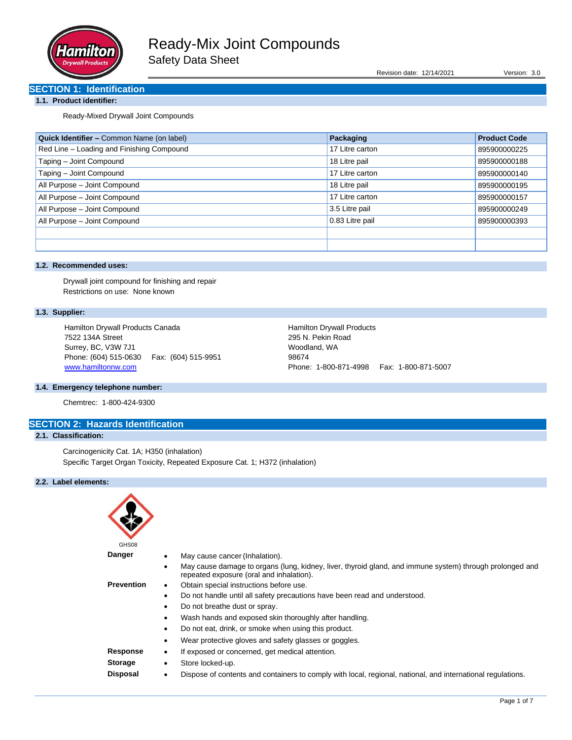

Revision date: 12/14/2021 Version: 3.0

# **SECTION 1: Identification**

## **1.1. Product identifier:**

Ready-Mixed Drywall Joint Compounds

| Quick Identifier - Common Name (on label) | Packaging       | <b>Product Code</b> |
|-------------------------------------------|-----------------|---------------------|
| Red Line - Loading and Finishing Compound | 17 Litre carton | 895900000225        |
| Taping - Joint Compound                   | 18 Litre pail   | 895900000188        |
| Taping - Joint Compound                   | 17 Litre carton | 895900000140        |
| All Purpose - Joint Compound              | 18 Litre pail   | 895900000195        |
| All Purpose - Joint Compound              | 17 Litre carton | 895900000157        |
| All Purpose - Joint Compound              | 3.5 Litre pail  | 895900000249        |
| All Purpose - Joint Compound              | 0.83 Litre pail | 895900000393        |
|                                           |                 |                     |
|                                           |                 |                     |

## **1.2. Recommended uses:**

Drywall joint compound for finishing and repair Restrictions on use: None known

## **1.3. Supplier:**

Hamilton Drywall Products Canada 7522 134A Street Surrey, BC, V3W 7J1 Phone: (604) 515-0630 Fax: (604) 515-9951 [www.hamiltonnw.com](http://www.hamiltonnw.com/)

Hamilton Drywall Products 295 N. Pekin Road Woodland, WA 98674 Phone: 1-800-871-4998 Fax: 1-800-871-5007

## **1.4. Emergency telephone number:**

Chemtrec: 1-800-424-9300

## **SECTION 2: Hazards Identification 2.1. Classification:**

Carcinogenicity Cat. 1A; H350 (inhalation) Specific Target Organ Toxicity, Repeated Exposure Cat. 1; H372 (inhalation)

## **2.2. Label elements:**

| GHS08             |                                                                                                                                                      |
|-------------------|------------------------------------------------------------------------------------------------------------------------------------------------------|
| <b>Danger</b>     | May cause cancer (Inhalation).                                                                                                                       |
|                   | May cause damage to organs (lung, kidney, liver, thyroid gland, and immune system) through prolonged and<br>repeated exposure (oral and inhalation). |
| <b>Prevention</b> | Obtain special instructions before use.<br>$\bullet$                                                                                                 |
|                   | Do not handle until all safety precautions have been read and understood.<br>$\bullet$                                                               |
|                   | Do not breathe dust or spray.                                                                                                                        |
|                   | Wash hands and exposed skin thoroughly after handling.                                                                                               |
|                   | Do not eat, drink, or smoke when using this product.                                                                                                 |
|                   | Wear protective gloves and safety glasses or goggles.                                                                                                |
| Response          | If exposed or concerned, get medical attention.<br>٠                                                                                                 |
| <b>Storage</b>    | Store locked-up.<br>٠                                                                                                                                |
| <b>Disposal</b>   | Dispose of contents and containers to comply with local, regional, national, and international regulations.<br>$\bullet$                             |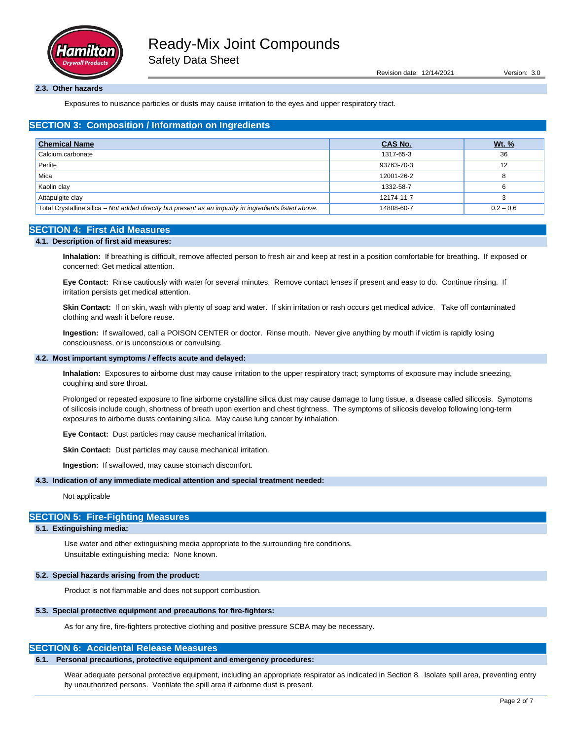

Revision date: 12/14/2021 Version: 3.0

#### **2.3. Other hazards**

Exposures to nuisance particles or dusts may cause irritation to the eyes and upper respiratory tract.

## **SECTION 3: Composition / Information on Ingredients**

| <b>Chemical Name</b>                                                                                  | <b>CAS No.</b> | <u>Wt. %</u> |
|-------------------------------------------------------------------------------------------------------|----------------|--------------|
| Calcium carbonate                                                                                     | 1317-65-3      | 36           |
| Perlite                                                                                               | 93763-70-3     | 12           |
| Mica                                                                                                  | 12001-26-2     | 8            |
| Kaolin clay                                                                                           | 1332-58-7      |              |
| Attapulgite clay                                                                                      | 12174-11-7     |              |
| Total Crystalline silica - Not added directly but present as an impurity in ingredients listed above. | 14808-60-7     | $0.2 - 0.6$  |

### **SECTION 4: First Aid Measures**

#### **4.1. Description of first aid measures:**

**Inhalation:** If breathing is difficult, remove affected person to fresh air and keep at rest in a position comfortable for breathing. If exposed or concerned: Get medical attention.

**Eye Contact:** Rinse cautiously with water for several minutes. Remove contact lenses if present and easy to do. Continue rinsing. If irritation persists get medical attention.

**Skin Contact:** If on skin, wash with plenty of soap and water. If skin irritation or rash occurs get medical advice. Take off contaminated clothing and wash it before reuse.

**Ingestion:** If swallowed, call a POISON CENTER or doctor. Rinse mouth. Never give anything by mouth if victim is rapidly losing consciousness, or is unconscious or convulsing.

#### **4.2. Most important symptoms / effects acute and delayed:**

**Inhalation:** Exposures to airborne dust may cause irritation to the upper respiratory tract; symptoms of exposure may include sneezing, coughing and sore throat.

Prolonged or repeated exposure to fine airborne crystalline silica dust may cause damage to lung tissue, a disease called silicosis. Symptoms of silicosis include cough, shortness of breath upon exertion and chest tightness. The symptoms of silicosis develop following long-term exposures to airborne dusts containing silica. May cause lung cancer by inhalation.

**Eye Contact:** Dust particles may cause mechanical irritation.

**Skin Contact:** Dust particles may cause mechanical irritation.

**Ingestion:** If swallowed, may cause stomach discomfort.

#### **4.3. Indication of any immediate medical attention and special treatment needed:**

#### Not applicable

## **SECTION 5: Fire-Fighting Measures**

### **5.1. Extinguishing media:**

Use water and other extinguishing media appropriate to the surrounding fire conditions. Unsuitable extinguishing media: None known.

#### **5.2. Special hazards arising from the product:**

Product is not flammable and does not support combustion.

#### **5.3. Special protective equipment and precautions for fire-fighters:**

As for any fire, fire-fighters protective clothing and positive pressure SCBA may be necessary.

## **SECTION 6: Accidental Release Measures**

#### **6.1. Personal precautions, protective equipment and emergency procedures:**

Wear adequate personal protective equipment, including an appropriate respirator as indicated in Section 8. Isolate spill area, preventing entry by unauthorized persons. Ventilate the spill area if airborne dust is present.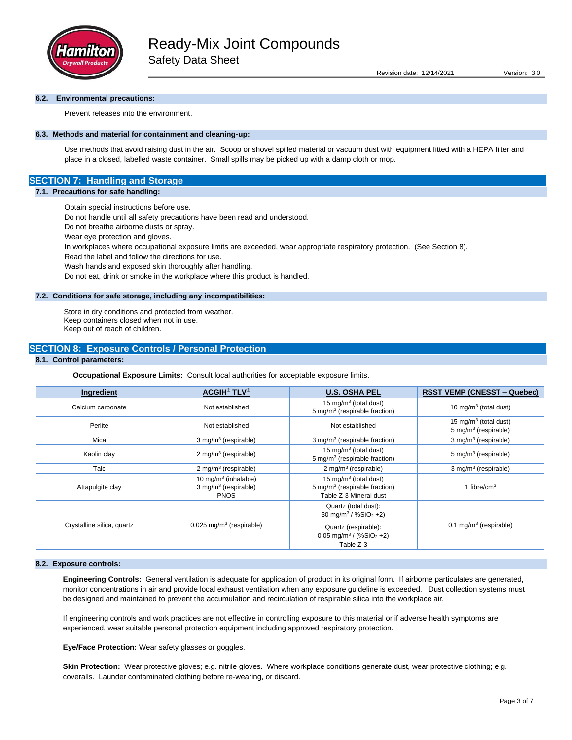

#### **6.2. Environmental precautions:**

Prevent releases into the environment.

### **6.3. Methods and material for containment and cleaning-up:**

Use methods that avoid raising dust in the air. Scoop or shovel spilled material or vacuum dust with equipment fitted with a HEPA filter and place in a closed, labelled waste container. Small spills may be picked up with a damp cloth or mop.

## **SECTION 7: Handling and Storage**

### **7.1. Precautions for safe handling:**

Obtain special instructions before use.

Do not handle until all safety precautions have been read and understood.

Do not breathe airborne dusts or spray.

Wear eye protection and gloves.

In workplaces where occupational exposure limits are exceeded, wear appropriate respiratory protection. (See Section 8).

Read the label and follow the directions for use.

Wash hands and exposed skin thoroughly after handling.

Do not eat, drink or smoke in the workplace where this product is handled.

#### **7.2. Conditions for safe storage, including any incompatibilities:**

Store in dry conditions and protected from weather. Keep containers closed when not in use. Keep out of reach of children.

## **SECTION 8: Exposure Controls / Personal Protection**

## **8.1. Control parameters:**

**Occupational Exposure Limits:** Consult local authorities for acceptable exposure limits.

| Ingredient                 | <b>ACGIH<sup>®</sup> TLV<sup>®</sup></b>                                     | <b>U.S. OSHA PEL</b>                                                                                     | <b>RSST VEMP (CNESST – Quebec)</b>                                    |
|----------------------------|------------------------------------------------------------------------------|----------------------------------------------------------------------------------------------------------|-----------------------------------------------------------------------|
| Calcium carbonate          | Not established                                                              | 15 mg/m <sup>3</sup> (total dust)<br>$5 \,\mathrm{mq/m^3}$ (respirable fraction)                         | 10 mg/m <sup>3</sup> (total dust)                                     |
| Perlite                    | Not established                                                              | Not established                                                                                          | 15 mg/m <sup>3</sup> (total dust)<br>5 mg/m <sup>3</sup> (respirable) |
| Mica                       | 3 mg/m <sup>3</sup> (respirable)                                             | 3 mg/m <sup>3</sup> (respirable fraction)                                                                | 3 mg/m <sup>3</sup> (respirable)                                      |
| Kaolin clay                | 2 mg/m <sup>3</sup> (respirable)                                             | 15 mg/m <sup>3</sup> (total dust)<br>5 mg/m <sup>3</sup> (respirable fraction)                           | 5 mg/m <sup>3</sup> (respirable)                                      |
| Talc                       | 2 mg/m <sup>3</sup> (respirable)                                             | 2 mg/m <sup>3</sup> (respirable)                                                                         | 3 mg/m <sup>3</sup> (respirable)                                      |
| Attapulgite clay           | 10 mg/m $3$ (inhalable)<br>$3$ mg/m <sup>3</sup> (respirable)<br><b>PNOS</b> | 15 mg/m <sup>3</sup> (total dust)<br>5 mg/m <sup>3</sup> (respirable fraction)<br>Table Z-3 Mineral dust | 1 fibre/cm $3$                                                        |
| Crystalline silica, quartz | $0.025$ mg/m <sup>3</sup> (respirable)                                       | Quartz (total dust):<br>30 mg/m <sup>3</sup> / %SiO <sub>2</sub> +2)<br>Quartz (respirable):             | 0.1 mg/m <sup>3</sup> (respirable)                                    |
|                            |                                                                              | $0.05$ mg/m <sup>3</sup> / (%SiO <sub>2</sub> +2)<br>Table Z-3                                           |                                                                       |

#### **8.2. Exposure controls:**

**Engineering Controls:** General ventilation is adequate for application of product in its original form. If airborne particulates are generated, monitor concentrations in air and provide local exhaust ventilation when any exposure guideline is exceeded. Dust collection systems must be designed and maintained to prevent the accumulation and recirculation of respirable silica into the workplace air.

If engineering controls and work practices are not effective in controlling exposure to this material or if adverse health symptoms are experienced, wear suitable personal protection equipment including approved respiratory protection.

**Eye/Face Protection:** Wear safety glasses or goggles.

Skin Protection: Wear protective gloves; e.g. nitrile gloves. Where workplace conditions generate dust, wear protective clothing; e.g. coveralls. Launder contaminated clothing before re-wearing, or discard.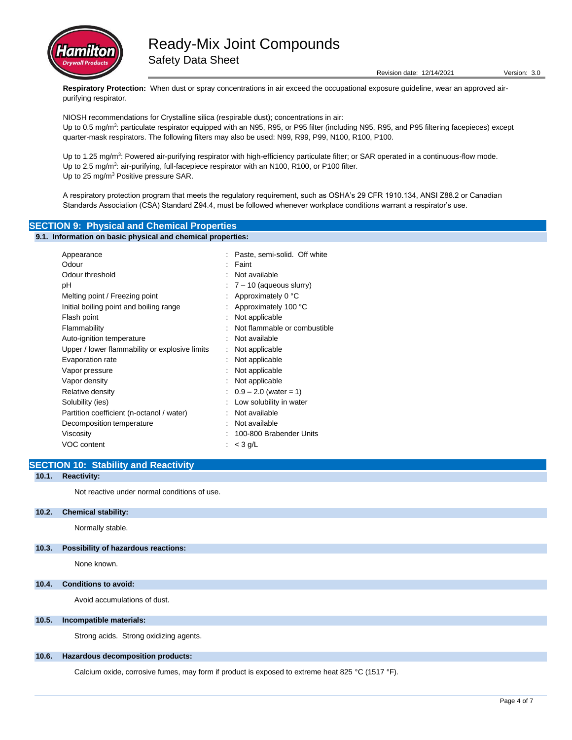

Revision date: 12/14/2021 Version: 3.0

**Respiratory Protection:** When dust or spray concentrations in air exceed the occupational exposure guideline, wear an approved airpurifying respirator.

NIOSH recommendations for Crystalline silica (respirable dust); concentrations in air: Up to 0.5 mg/m<sup>3</sup>: particulate respirator equipped with an N95, R95, or P95 filter (including N95, R95, and P95 filtering facepieces) except quarter-mask respirators. The following filters may also be used: N99, R99, P99, N100, R100, P100.

Up to 1.25 mg/m<sup>3</sup>: Powered air-purifying respirator with high-efficiency particulate filter; or SAR operated in a continuous-flow mode. Up to 2.5 mg/m<sup>3</sup>: air-purifying, full-facepiece respirator with an N100, R100, or P100 filter. Up to 25 mg/m<sup>3</sup> Positive pressure SAR.

A respiratory protection program that meets the regulatory requirement, such as OSHA's 29 CFR 1910.134, ANSI Z88.2 or Canadian Standards Association (CSA) Standard Z94.4, must be followed whenever workplace conditions warrant a respirator's use.

## **SECTION 9: Physical and Chemical Properties**

#### **9.1. Information on basic physical and chemical properties:**

| Appearance                                     | Paste, semi-solid. Off white          |
|------------------------------------------------|---------------------------------------|
| Odour                                          | Faint                                 |
| Odour threshold                                | Not available                         |
| рH                                             | $\frac{1}{2}$ 7 – 10 (aqueous slurry) |
| Melting point / Freezing point                 | Approximately 0 °C                    |
| Initial boiling point and boiling range        | Approximately 100 °C                  |
| Flash point                                    | Not applicable                        |
| Flammability                                   | Not flammable or combustible          |
| Auto-ignition temperature                      | Not available                         |
| Upper / lower flammability or explosive limits | Not applicable                        |
| Evaporation rate                               | Not applicable                        |
| Vapor pressure                                 | Not applicable                        |
| Vapor density                                  | Not applicable                        |
| Relative density                               | $0.9 - 2.0$ (water = 1)               |
| Solubility (ies)                               | Low solubility in water               |
| Partition coefficient (n-octanol / water)      | Not available                         |
| Decomposition temperature                      | Not available                         |
| Viscosity                                      | 100-800 Brabender Units               |
| VOC content                                    | $<$ 3 g/L                             |

## **SECTION 10: Stability and Reactivity**

## **10.1. Reactivity:**

Not reactive under normal conditions of use.

#### **10.2. Chemical stability:**

Normally stable.

### **10.3. Possibility of hazardous reactions:**

None known.

### **10.4. Conditions to avoid:**

Avoid accumulations of dust.

### **10.5. Incompatible materials:**

Strong acids. Strong oxidizing agents.

#### **10.6. Hazardous decomposition products:**

Calcium oxide, corrosive fumes, may form if product is exposed to extreme heat 825 °C (1517 °F).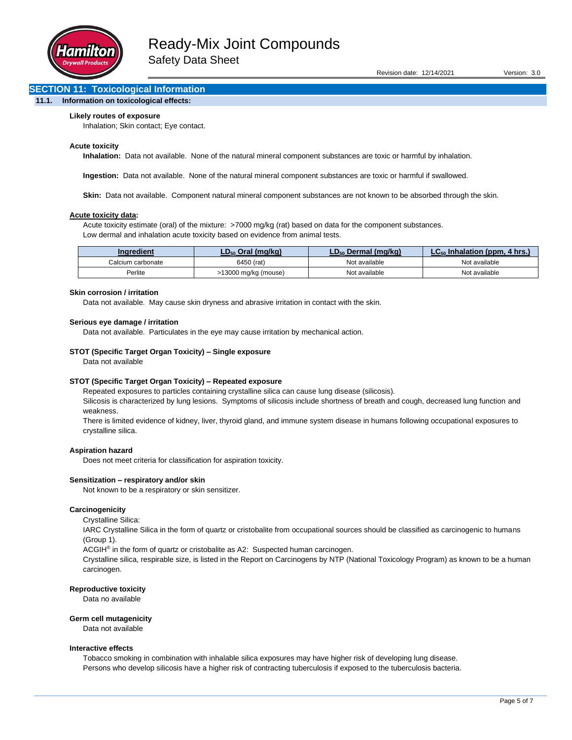

## **SECTION 11: Toxicological Information**

### **11.1. Information on toxicological effects:**

#### **Likely routes of exposure**

Inhalation; Skin contact; Eye contact.

#### **Acute toxicity**

**Inhalation:** Data not available. None of the natural mineral component substances are toxic or harmful by inhalation.

**Ingestion:** Data not available. None of the natural mineral component substances are toxic or harmful if swallowed.

**Skin:** Data not available. Component natural mineral component substances are not known to be absorbed through the skin.

#### **Acute toxicity data:**

Acute toxicity estimate (oral) of the mixture: >7000 mg/kg (rat) based on data for the component substances. Low dermal and inhalation acute toxicity based on evidence from animal tests.

| Inaredient        | . Oral (mɑ/kɑ)       | <b>Dermal (mɑ/kɑ)</b> ا<br>$D_{50}$ | ◠<br><b>Uhrs.</b><br>$\rightarrow$ alation (ppm $\sim$<br>In |
|-------------------|----------------------|-------------------------------------|--------------------------------------------------------------|
| Calcium carbonate | 6450 (rat)           | Not available                       | Not available                                                |
| Perlite           | >13000 mg/kg (mouse) | Not available                       | Not available                                                |

#### **Skin corrosion / irritation**

Data not available. May cause skin dryness and abrasive irritation in contact with the skin.

#### **Serious eye damage / irritation**

Data not available. Particulates in the eye may cause irritation by mechanical action.

#### **STOT (Specific Target Organ Toxicity) – Single exposure**

Data not available

#### **STOT (Specific Target Organ Toxicity) – Repeated exposure**

Repeated exposures to particles containing crystalline silica can cause lung disease (silicosis).

Silicosis is characterized by lung lesions. Symptoms of silicosis include shortness of breath and cough, decreased lung function and weakness.

There is limited evidence of kidney, liver, thyroid gland, and immune system disease in humans following occupational exposures to crystalline silica.

#### **Aspiration hazard**

Does not meet criteria for classification for aspiration toxicity.

#### **Sensitization – respiratory and/or skin**

Not known to be a respiratory or skin sensitizer.

#### **Carcinogenicity**

Crystalline Silica:

IARC Crystalline Silica in the form of quartz or cristobalite from occupational sources should be classified as carcinogenic to humans (Group 1).

ACGIH<sup>®</sup> in the form of quartz or cristobalite as A2: Suspected human carcinogen.

Crystalline silica, respirable size, is listed in the Report on Carcinogens by NTP (National Toxicology Program) as known to be a human carcinogen.

#### **Reproductive toxicity**

Data no available

#### **Germ cell mutagenicity**

Data not available

#### **Interactive effects**

Tobacco smoking in combination with inhalable silica exposures may have higher risk of developing lung disease. Persons who develop silicosis have a higher risk of contracting tuberculosis if exposed to the tuberculosis bacteria.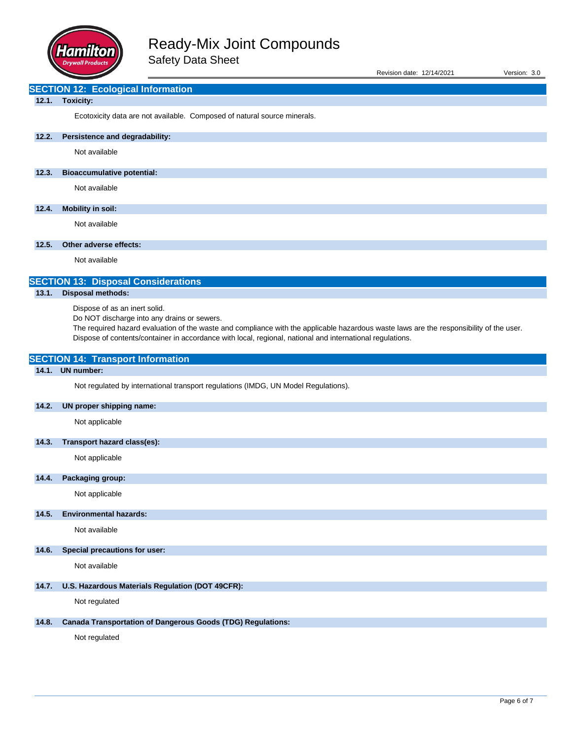

| Revision date: 12/14/2021 | Version: 3.0 |  |
|---------------------------|--------------|--|
|                           |              |  |

## **SECTION 12: Ecological Information**

## **12.1. Toxicity:**

Ecotoxicity data are not available. Composed of natural source minerals.

## **12.2. Persistence and degradability:**

Not available

## **12.3. Bioaccumulative potential:**

Not available

## **12.4. Mobility in soil:**

Not available

## **12.5. Other adverse effects:**

Not available

# **SECTION 13: Disposal Considerations**

## **13.1. Disposal methods:**

Dispose of as an inert solid.

**SECTION 14: Transport Information**

Do NOT discharge into any drains or sewers.

The required hazard evaluation of the waste and compliance with the applicable hazardous waste laws are the responsibility of the user. Dispose of contents/container in accordance with local, regional, national and international regulations.

| 14.1. | <b>UN number:</b>                                                                  |
|-------|------------------------------------------------------------------------------------|
|       | Not regulated by international transport regulations (IMDG, UN Model Regulations). |
| 14.2. | UN proper shipping name:                                                           |
|       | Not applicable                                                                     |
| 14.3. | Transport hazard class(es):                                                        |
|       | Not applicable                                                                     |
| 14.4. | Packaging group:                                                                   |
|       | Not applicable                                                                     |
| 14.5. | <b>Environmental hazards:</b>                                                      |
|       | Not available                                                                      |
| 14.6. | Special precautions for user:                                                      |
|       | Not available                                                                      |
| 14.7. | U.S. Hazardous Materials Regulation (DOT 49CFR):                                   |
|       | Not regulated                                                                      |
| 14.8. | <b>Canada Transportation of Dangerous Goods (TDG) Regulations:</b>                 |
|       | Not regulated                                                                      |
|       |                                                                                    |
|       |                                                                                    |
|       |                                                                                    |